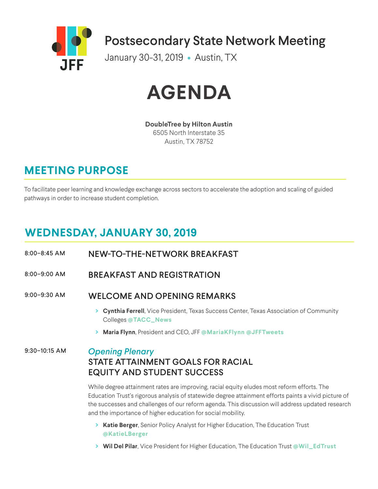



**DoubleTree by Hilton Austin** 6505 North Interstate 35 Austin, TX 78752

# **MEETING PURPOSE**

To facilitate peer learning and knowledge exchange across sectors to accelerate the adoption and scaling of guided pathways in order to increase student completion.

# **WEDNESDAY, JANUARY 30, 2019**

8:00–8:45 AM NEW-TO-THE-NETWORK BREAKFAST

8:00–9:00 AM BREAKFAST AND REGISTRATION

9:00–9:30 AM WELCOME AND OPENING REMARKS

- **> Cynthia Ferrell**, Vice President, Texas Success Center, Texas Association of Community Colleges **@TACC\_News**
- **> Maria Flynn**, President and CEO, JFF **@MariaKFlynn @JFFTweets**

#### 9:30–10:15 AM *Opening Plenary*

# STATE ATTAINMENT GOALS FOR RACIAL EQUITY AND STUDENT SUCCESS

While degree attainment rates are improving, racial equity eludes most reform efforts. The Education Trust's rigorous analysis of statewide degree attainment efforts paints a vivid picture of the successes and challenges of our reform agenda. This discussion will address updated research and the importance of higher education for social mobility.

- **> Katie Berger**, Senior Policy Analyst for Higher Education, The Education Trust **@KatieLBerger**
- **> Wil Del Pilar**, Vice President for Higher Education, The Education Trust **@Wil\_EdTrust**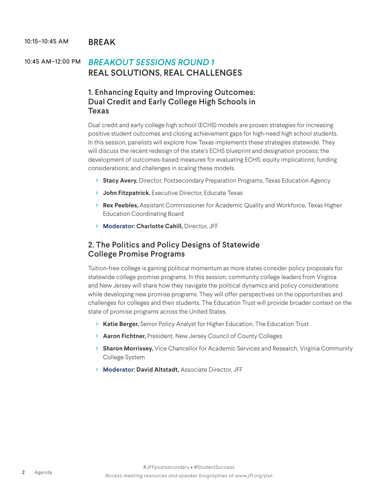#### 10:15-10:45 AM BRFAK

# 10:45 AM–12:00 PM *BREAKOUT SESSIONS ROUND 1* REAL SOLUTIONS, REAL CHALLENGES

# 1. Enhancing Equity and Improving Outcomes: Dual Credit and Early College High Schools in Texas

Dual credit and early college high school (ECHS) models are proven strategies for increasing positive student outcomes and closing achievement gaps for high-need high school students. In this session, panelists will explore how Texas implements these strategies statewide. They will discuss the recent redesign of the state's ECHS blueprint and designation process; the development of outcomes-based measures for evaluating ECHS; equity implications; funding considerations; and challenges in scaling these models.

- **> Stacy Avery,** Director, Postsecondary Preparation Programs, Texas Education Agency
- **> John Fitzpatrick,** Executive Director, Educate Texas
- **> Rex Peebles,** Assistant Commissioner for Academic Quality and Workforce, Texas Higher Education Coordinating Board
- **> Moderator: Charlotte Cahill,** Director, JFF

## 2. The Politics and Policy Designs of Statewide College Promise Programs

Tuition-free college is gaining political momentum as more states consider policy proposals for statewide college promise programs. In this session, community college leaders from Virginia and New Jersey will share how they navigate the political dynamics and policy considerations while developing new promise programs. They will offer perspectives on the opportunities and challenges for colleges and their students. The Education Trust will provide broader context on the state of promise programs across the United States.

- **> Katie Berger,** Senior Policy Analyst for Higher Education, The Education Trust
- **> Aaron Fichtner,** President, New Jersey Council of County Colleges
- **> Sharon Morrissey,** Vice Chancellor for Academic Services and Research, Virginia Community College System
- **> Moderator: David Altstadt,** Associate Director, JFF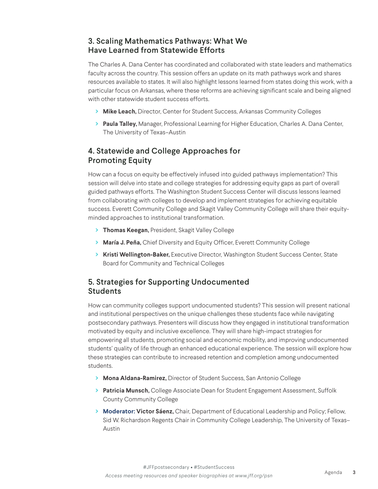# 3. Scaling Mathematics Pathways: What We Have Learned from Statewide Efforts

The Charles A. Dana Center has coordinated and collaborated with state leaders and mathematics faculty across the country. This session offers an update on its math pathways work and shares resources available to states. It will also highlight lessons learned from states doing this work, with a particular focus on Arkansas, where these reforms are achieving significant scale and being aligned with other statewide student success efforts.

- **> Mike Leach,** Director, Center for Student Success, Arkansas Community Colleges
- **> Paula Talley,** Manager, Professional Learning for Higher Education, Charles A. Dana Center, The University of Texas–Austin

# 4. Statewide and College Approaches for Promoting Equity

How can a focus on equity be effectively infused into guided pathways implementation? This session will delve into state and college strategies for addressing equity gaps as part of overall guided pathways efforts. The Washington Student Success Center will discuss lessons learned from collaborating with colleges to develop and implement strategies for achieving equitable success. Everett Community College and Skagit Valley Community College will share their equityminded approaches to institutional transformation.

- **> Thomas Keegan,** President, Skagit Valley College
- **> María J. Peña,** Chief Diversity and Equity Officer, Everett Community College
- **> Kristi Wellington-Baker,** Executive Director, Washington Student Success Center, State Board for Community and Technical Colleges

# 5. Strategies for Supporting Undocumented Students

How can community colleges support undocumented students? This session will present national and institutional perspectives on the unique challenges these students face while navigating postsecondary pathways. Presenters will discuss how they engaged in institutional transformation motivated by equity and inclusive excellence. They will share high-impact strategies for empowering all students, promoting social and economic mobility, and improving undocumented students' quality of life through an enhanced educational experience. The session will explore how these strategies can contribute to increased retention and completion among undocumented students.

- **> Mona Aldana-Ramirez,** Director of Student Success, San Antonio College
- **> Patricia Munsch,** College Associate Dean for Student Engagement Assessment, Suffolk County Community College
- **> Moderator: Victor Sáenz,** Chair, Department of Educational Leadership and Policy; Fellow, Sid W. Richardson Regents Chair in Community College Leadership, The University of Texas– Austin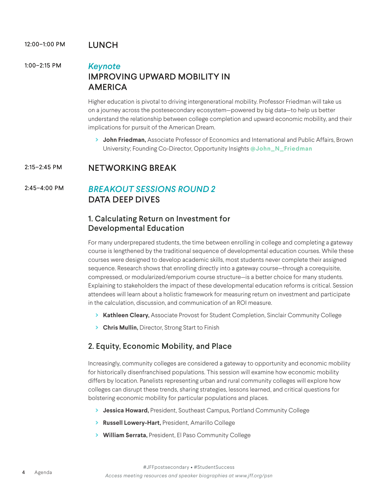#### 12:00-1:00 PM LUNCH

# 1:00–2:15 PM *Keynote* IMPROVING UPWARD MOBILITY IN AMERICA

Higher education is pivotal to driving intergenerational mobility. Professor Friedman will take us on a journey across the postesecondary ecosystem—powered by big data—to help us better understand the relationship between college completion and upward economic mobility, and their implications for pursuit of the American Dream.

**> John Friedman,** Associate Professor of Economics and International and Public Affairs, Brown University; Founding Co-Director, Opportunity Insights **@John\_N\_Friedman**

### 2:15–2:45 PM NETWORKING BREAK

# 2:45–4:00 PM *BREAKOUT SESSIONS ROUND 2* DATA DEEP DIVES

#### 1. Calculating Return on Investment for Developmental Education

For many underprepared students, the time between enrolling in college and completing a gateway course is lengthened by the traditional sequence of developmental education courses. While these courses were designed to develop academic skills, most students never complete their assigned sequence. Research shows that enrolling directly into a gateway course—through a corequisite, compressed, or modularized/emporium course structure—is a better choice for many students. Explaining to stakeholders the impact of these developmental education reforms is critical. Session attendees will learn about a holistic framework for measuring return on investment and participate in the calculation, discussion, and communication of an ROI measure.

- **> Kathleen Cleary,** Associate Provost for Student Completion, Sinclair Community College
- **> Chris Mullin,** Director, Strong Start to Finish

# 2. Equity, Economic Mobility, and Place

Increasingly, community colleges are considered a gateway to opportunity and economic mobility for historically disenfranchised populations. This session will examine how economic mobility differs by location. Panelists representing urban and rural community colleges will explore how colleges can disrupt these trends, sharing strategies, lessons learned, and critical questions for bolstering economic mobility for particular populations and places.

- **> Jessica Howard,** President, Southeast Campus, Portland Community College
- **> Russell Lowery-Hart,** President, Amarillo College
- **> William Serrata,** President, El Paso Community College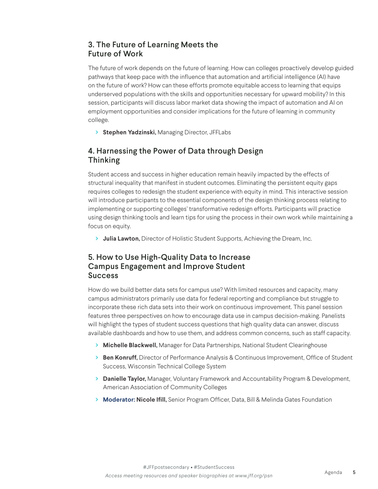# 3. The Future of Learning Meets the Future of Work

The future of work depends on the future of learning. How can colleges proactively develop guided pathways that keep pace with the influence that automation and artificial intelligence (AI) have on the future of work? How can these efforts promote equitable access to learning that equips underserved populations with the skills and opportunities necessary for upward mobility? In this session, participants will discuss labor market data showing the impact of automation and AI on employment opportunities and consider implications for the future of learning in community college.

**> Stephen Yadzinski,** Managing Director, JFFLabs

# 4. Harnessing the Power of Data through Design Thinking

Student access and success in higher education remain heavily impacted by the effects of structural inequality that manifest in student outcomes. Eliminating the persistent equity gaps requires colleges to redesign the student experience with equity in mind. This interactive session will introduce participants to the essential components of the design thinking process relating to implementing or supporting colleges' transformative redesign efforts. Participants will practice using design thinking tools and learn tips for using the process in their own work while maintaining a focus on equity.

**> Julia Lawton,** Director of Holistic Student Supports, Achieving the Dream, Inc.

# 5. How to Use High-Quality Data to Increase Campus Engagement and Improve Student Success

How do we build better data sets for campus use? With limited resources and capacity, many campus administrators primarily use data for federal reporting and compliance but struggle to incorporate these rich data sets into their work on continuous improvement. This panel session features three perspectives on how to encourage data use in campus decision-making. Panelists will highlight the types of student success questions that high quality data can answer, discuss available dashboards and how to use them, and address common concerns, such as staff capacity.

- **> Michelle Blackwell,** Manager for Data Partnerships, National Student Clearinghouse
- **> Ben Konruff,** Director of Performance Analysis & Continuous Improvement, Office of Student Success, Wisconsin Technical College System
- **> Danielle Taylor,** Manager, Voluntary Framework and Accountability Program & Development, American Association of Community Colleges
- **> Moderator: Nicole Ifill,** Senior Program Officer, Data, Bill & Melinda Gates Foundation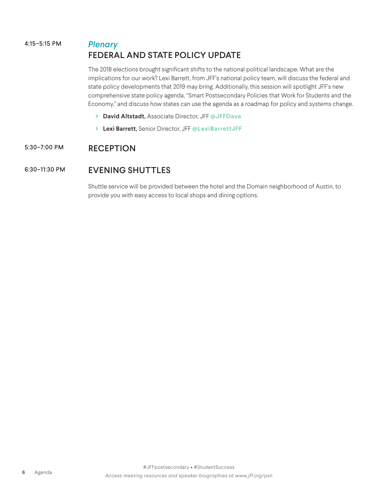# 4:15–5:15 PM *Plenary* FEDERAL AND STATE POLICY UPDATE

The 2018 elections brought significant shifts to the national political landscape. What are the implications for our work? Lexi Barrett, from JFF's national policy team, will discuss the federal and state policy developments that 2019 may bring. Additionally, this session will spotlight JFF's new comprehensive state policy agenda, "Smart Postsecondary Policies that Work for Students and the Economy," and discuss how states can use the agenda as a roadmap for policy and systems change.

- **> David Altstadt,** Associate Director, JFF **@JFFDave**
- **> Lexi Barrett,** Senior Director, JFF **@LexiBarrettJFF**

# 5:30–7:00 PM RECEPTION

## 6:30–11:30 PM EVENING SHUTTLES

Shuttle service will be provided between the hotel and the Domain neighborhood of Austin, to provide you with easy access to local shops and dining options.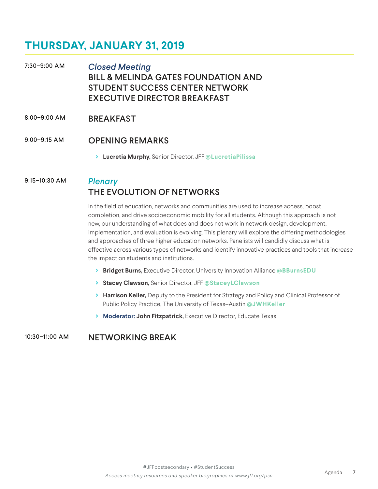# **THURSDAY, JANUARY 31, 2019**

7:30–9:00 AM *Closed Meeting* BILL & MELINDA GATES FOUNDATION AND STUDENT SUCCESS CENTER NETWORK EXECUTIVE DIRECTOR BREAKFAST

#### 8:00–9:00 AM BREAKFAST

#### 9:00–9:15 AM OPENING REMARKS

**> Lucretia Murphy,** Senior Director, JFF **@LucretiaPilissa**

# 9:15–10:30 AM *Plenary* THE EVOLUTION OF NETWORKS

In the field of education, networks and communities are used to increase access, boost completion, and drive socioeconomic mobility for all students. Although this approach is not new, our understanding of what does and does not work in network design, development, implementation, and evaluation is evolving. This plenary will explore the differing methodologies and approaches of three higher education networks. Panelists will candidly discuss what is effective across various types of networks and identify innovative practices and tools that increase the impact on students and institutions.

- **> Bridget Burns,** Executive Director, University Innovation Alliance **@BBurnsEDU**
- **> Stacey Clawson,** Senior Director, JFF **@StaceyLClawson**
- **> Harrison Keller,** Deputy to the President for Strategy and Policy and Clinical Professor of Public Policy Practice, The University of Texas–Austin **@JWHKeller**
- **> Moderator: John Fitzpatrick,** Executive Director, Educate Texas

# 10:30–11:00 AM NETWORKING BREAK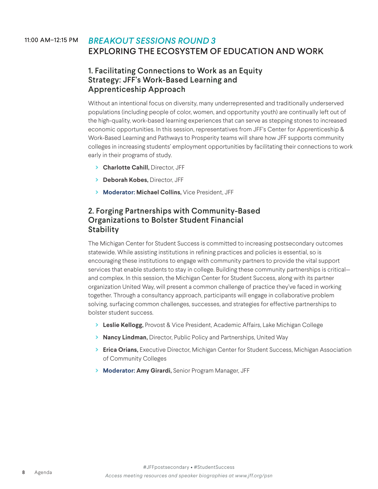# 11:00 AM–12:15 PM *BREAKOUT SESSIONS ROUND 3* EXPLORING THE ECOSYSTEM OF EDUCATION AND WORK

## 1. Facilitating Connections to Work as an Equity Strategy: JFF's Work-Based Learning and Apprenticeship Approach

Without an intentional focus on diversity, many underrepresented and traditionally underserved populations (including people of color, women, and opportunity youth) are continually left out of the high-quality, work-based learning experiences that can serve as stepping stones to increased economic opportunities. In this session, representatives from JFF's Center for Apprenticeship & Work-Based Learning and Pathways to Prosperity teams will share how JFF supports community colleges in increasing students' employment opportunities by facilitating their connections to work early in their programs of study.

- **> Charlotte Cahill,** Director, JFF
- **> Deborah Kobes,** Director, JFF
- **> Moderator: Michael Collins,** Vice President, JFF

## 2. Forging Partnerships with Community-Based Organizations to Bolster Student Financial **Stability**

The Michigan Center for Student Success is committed to increasing postsecondary outcomes statewide. While assisting institutions in refining practices and policies is essential, so is encouraging these institutions to engage with community partners to provide the vital support services that enable students to stay in college. Building these community partnerships is critical and complex. In this session, the Michigan Center for Student Success, along with its partner organization United Way, will present a common challenge of practice they've faced in working together. Through a consultancy approach, participants will engage in collaborative problem solving, surfacing common challenges, successes, and strategies for effective partnerships to bolster student success.

- **> Leslie Kellogg,** Provost & Vice President, Academic Affairs, Lake Michigan College
- **> Nancy Lindman,** Director, Public Policy and Partnerships, United Way
- **> Erica Orians,** Executive Director, Michigan Center for Student Success, Michigan Association of Community Colleges
- **> Moderator: Amy Girardi,** Senior Program Manager, JFF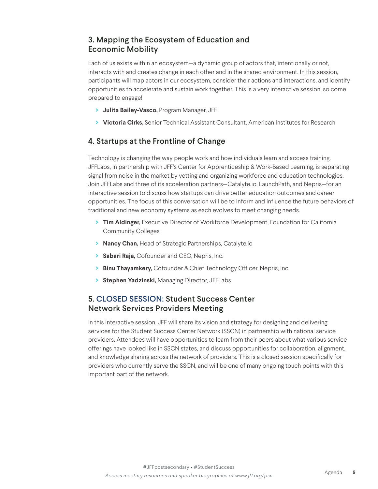# 3. Mapping the Ecosystem of Education and Economic Mobility

Each of us exists within an ecosystem—a dynamic group of actors that, intentionally or not, interacts with and creates change in each other and in the shared environment. In this session, participants will map actors in our ecosystem, consider their actions and interactions, and identify opportunities to accelerate and sustain work together. This is a very interactive session, so come prepared to engage!

- **> Julita Bailey-Vasco,** Program Manager, JFF
- **> Victoria Cirks,** Senior Technical Assistant Consultant, American Institutes for Research

# 4. Startups at the Frontline of Change

Technology is changing the way people work and how individuals learn and access training. JFFLabs, in partnership with JFF's Center for Apprenticeship & Work-Based Learning, is separating signal from noise in the market by vetting and organizing workforce and education technologies. Join JFFLabs and three of its acceleration partners—Catalyte.io, LaunchPath, and Nepris—for an interactive session to discuss how startups can drive better education outcomes and career opportunities. The focus of this conversation will be to inform and influence the future behaviors of traditional and new economy systems as each evolves to meet changing needs.

- **> Tim Aldinger,** Executive Director of Workforce Development, Foundation for California Community Colleges
- **> Nancy Chan,** Head of Strategic Partnerships, Catalyte.io
- **> Sabari Raja,** Cofounder and CEO, Nepris, Inc.
- **> Binu Thayamkery,** Cofounder & Chief Technology Officer, Nepris, Inc.
- **> Stephen Yadzinski,** Managing Director, JFFLabs

## 5. CLOSED SESSION: Student Success Center Network Services Providers Meeting

In this interactive session, JFF will share its vision and strategy for designing and delivering services for the Student Success Center Network (SSCN) in partnership with national service providers. Attendees will have opportunities to learn from their peers about what various service offerings have looked like in SSCN states, and discuss opportunities for collaboration, alignment, and knowledge sharing across the network of providers. This is a closed session specifically for providers who currently serve the SSCN, and will be one of many ongoing touch points with this important part of the network.